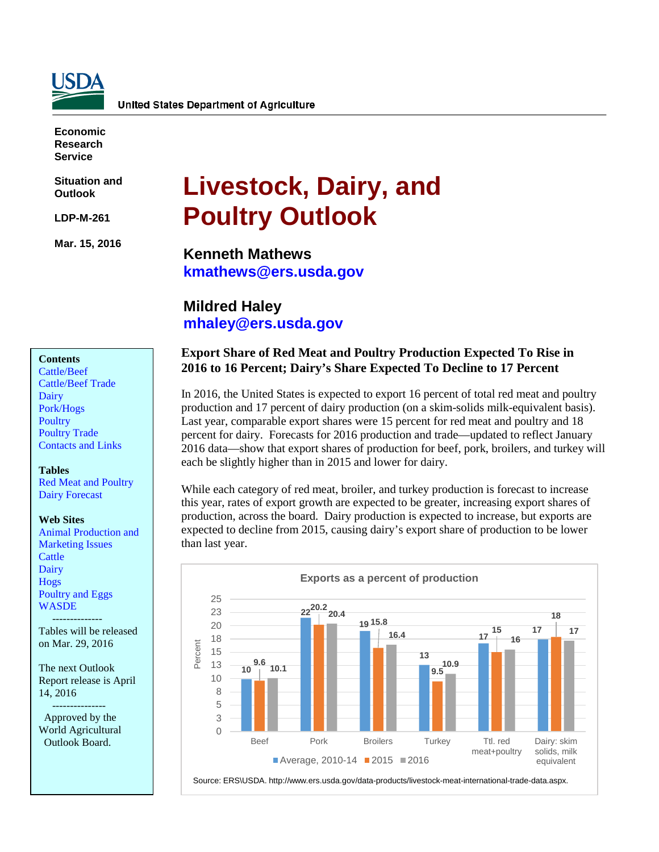

**Economic Research Service**

**Situation and Outlook**

**LDP-M-261**

**Mar. 15, 2016**

# **Livestock, Dairy, and Poultry Outlook**

**Kenneth Mathews [kmathews@ers.usda.gov](mailto:kmathews@ers.usda.gov)**

## **Mildred Haley [mhaley@ers.usda.gov](mailto:mhaley@ers.usda.gov)**

#### **Contents**

[Cattle/Beef](#page-2-0) [Cattle/Beef](#page-4-0) Trade [Dairy](#page-5-0) [Pork/Hogs](#page-8-0) **[Poultry](#page-12-0)** [Poultry Trade](#page-15-0) [Contacts and Links](#page-17-0) 

**Tables**

[Red Meat and Poultry](#page-18-0) [Dairy Forecast](#page-19-0)

#### **Web Sites**

[Animal Production and](http://www.ers.usda.gov/topics/animal-products/animal-production-marketing-issues.aspx) [Marketing Issues](http://www.ers.usda.gov/topics/animal-products/animal-production-marketing-issues.aspx) **[Cattle](http://www.ers.usda.gov/topics/animal-products/cattle-beef.aspx)** [Dairy](http://www.ers.usda.gov/topics/animal-products/dairy.aspx) [Hogs](http://www.ers.usda.gov/topics/animal-products/hogs-pork.aspx) [Poultry and Eggs](http://www.ers.usda.gov/topics/animal-products/poultry-eggs.aspx) **[WASDE](http://usda.mannlib.cornell.edu/MannUsda/viewDocumentInfo.do?documentID=1194)** 

Tables will be released on Mar. 29, 2016

--------------

The next Outlook Report release is April 14, 2016

 --------------- Approved by the World Agricultural Outlook Board.

### **Export Share of Red Meat and Poultry Production Expected To Rise in 2016 to 16 Percent; Dairy's Share Expected To Decline to 17 Percent**

In 2016, the United States is expected to export 16 percent of total red meat and poultry production and 17 percent of dairy production (on a skim-solids milk-equivalent basis). Last year, comparable export shares were 15 percent for red meat and poultry and 18 percent for dairy. Forecasts for 2016 production and trade—updated to reflect January 2016 data—show that export shares of production for beef, pork, broilers, and turkey will each be slightly higher than in 2015 and lower for dairy.

While each category of red meat, broiler, and turkey production is forecast to increase this year, rates of export growth are expected to be greater, increasing export shares of production, across the board. Dairy production is expected to increase, but exports are expected to decline from 2015, causing dairy's export share of production to be lower than last year.

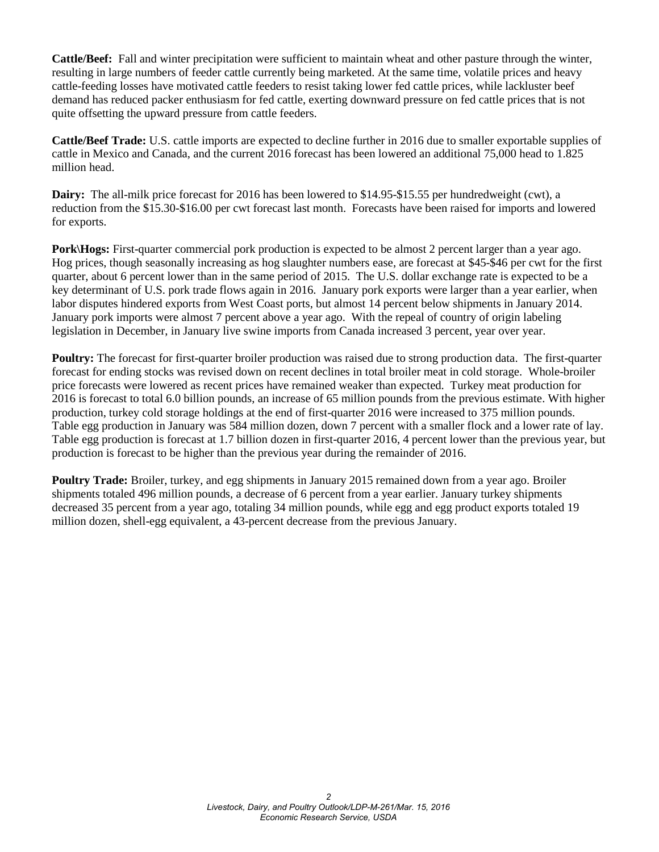**Cattle/Beef:** Fall and winter precipitation were sufficient to maintain wheat and other pasture through the winter, resulting in large numbers of feeder cattle currently being marketed. At the same time, volatile prices and heavy cattle-feeding losses have motivated cattle feeders to resist taking lower fed cattle prices, while lackluster beef demand has reduced packer enthusiasm for fed cattle, exerting downward pressure on fed cattle prices that is not quite offsetting the upward pressure from cattle feeders.

**Cattle/Beef Trade:** U.S. cattle imports are expected to decline further in 2016 due to smaller exportable supplies of cattle in Mexico and Canada, and the current 2016 forecast has been lowered an additional 75,000 head to 1.825 million head.

**Dairy:** The all-milk price forecast for 2016 has been lowered to \$14.95-\$15.55 per hundredweight (cwt), a reduction from the \$15.30-\$16.00 per cwt forecast last month. Forecasts have been raised for imports and lowered for exports.

**Pork\Hogs:** First-quarter commercial pork production is expected to be almost 2 percent larger than a year ago. Hog prices, though seasonally increasing as hog slaughter numbers ease, are forecast at \$45-\$46 per cwt for the first quarter, about 6 percent lower than in the same period of 2015. The U.S. dollar exchange rate is expected to be a key determinant of U.S. pork trade flows again in 2016. January pork exports were larger than a year earlier, when labor disputes hindered exports from West Coast ports, but almost 14 percent below shipments in January 2014. January pork imports were almost 7 percent above a year ago. With the repeal of country of origin labeling legislation in December, in January live swine imports from Canada increased 3 percent, year over year.

**Poultry:** The forecast for first-quarter broiler production was raised due to strong production data. The first-quarter forecast for ending stocks was revised down on recent declines in total broiler meat in cold storage. Whole-broiler price forecasts were lowered as recent prices have remained weaker than expected. Turkey meat production for 2016 is forecast to total 6.0 billion pounds, an increase of 65 million pounds from the previous estimate. With higher production, turkey cold storage holdings at the end of first-quarter 2016 were increased to 375 million pounds. Table egg production in January was 584 million dozen, down 7 percent with a smaller flock and a lower rate of lay. Table egg production is forecast at 1.7 billion dozen in first-quarter 2016, 4 percent lower than the previous year, but production is forecast to be higher than the previous year during the remainder of 2016.

**Poultry Trade:** Broiler, turkey, and egg shipments in January 2015 remained down from a year ago. Broiler shipments totaled 496 million pounds, a decrease of 6 percent from a year earlier. January turkey shipments decreased 35 percent from a year ago, totaling 34 million pounds, while egg and egg product exports totaled 19 million dozen, shell-egg equivalent, a 43-percent decrease from the previous January.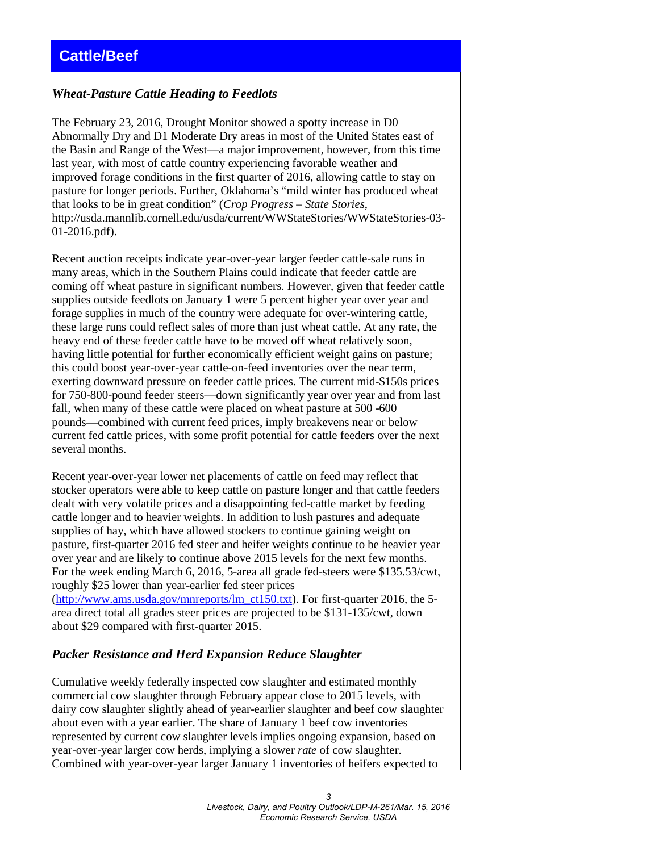### <span id="page-2-0"></span>*Wheat-Pasture Cattle Heading to Feedlots*

The February 23, 2016, Drought Monitor showed a spotty increase in D0 Abnormally Dry and D1 Moderate Dry areas in most of the United States east of the Basin and Range of the West—a major improvement, however, from this time last year, with most of cattle country experiencing favorable weather and improved forage conditions in the first quarter of 2016, allowing cattle to stay on pasture for longer periods. Further, Oklahoma's "mild winter has produced wheat that looks to be in great condition" (*Crop Progress – State Stories*, http://usda.mannlib.cornell.edu/usda/current/WWStateStories/WWStateStories-03- 01-2016.pdf).

Recent auction receipts indicate year-over-year larger feeder cattle-sale runs in many areas, which in the Southern Plains could indicate that feeder cattle are coming off wheat pasture in significant numbers. However, given that feeder cattle supplies outside feedlots on January 1 were 5 percent higher year over year and forage supplies in much of the country were adequate for over-wintering cattle, these large runs could reflect sales of more than just wheat cattle. At any rate, the heavy end of these feeder cattle have to be moved off wheat relatively soon, having little potential for further economically efficient weight gains on pasture; this could boost year-over-year cattle-on-feed inventories over the near term, exerting downward pressure on feeder cattle prices. The current mid-\$150s prices for 750-800-pound feeder steers—down significantly year over year and from last fall, when many of these cattle were placed on wheat pasture at 500 -600 pounds—combined with current feed prices, imply breakevens near or below current fed cattle prices, with some profit potential for cattle feeders over the next several months.

Recent year-over-year lower net placements of cattle on feed may reflect that stocker operators were able to keep cattle on pasture longer and that cattle feeders dealt with very volatile prices and a disappointing fed-cattle market by feeding cattle longer and to heavier weights. In addition to lush pastures and adequate supplies of hay, which have allowed stockers to continue gaining weight on pasture, first-quarter 2016 fed steer and heifer weights continue to be heavier year over year and are likely to continue above 2015 levels for the next few months. For the week ending March 6, 2016, 5-area all grade fed-steers were \$135.53/cwt, roughly \$25 lower than year-earlier fed steer prices

[\(http://www.ams.usda.gov/mnreports/lm\\_ct150.txt\)](http://www.ams.usda.gov/mnreports/lm_ct150.txt). For first-quarter 2016, the 5 area direct total all grades steer prices are projected to be \$131-135/cwt, down about \$29 compared with first-quarter 2015.

### *Packer Resistance and Herd Expansion Reduce Slaughter*

Cumulative weekly federally inspected cow slaughter and estimated monthly commercial cow slaughter through February appear close to 2015 levels, with dairy cow slaughter slightly ahead of year-earlier slaughter and beef cow slaughter about even with a year earlier. The share of January 1 beef cow inventories represented by current cow slaughter levels implies ongoing expansion, based on year-over-year larger cow herds, implying a slower *rate* of cow slaughter. Combined with year-over-year larger January 1 inventories of heifers expected to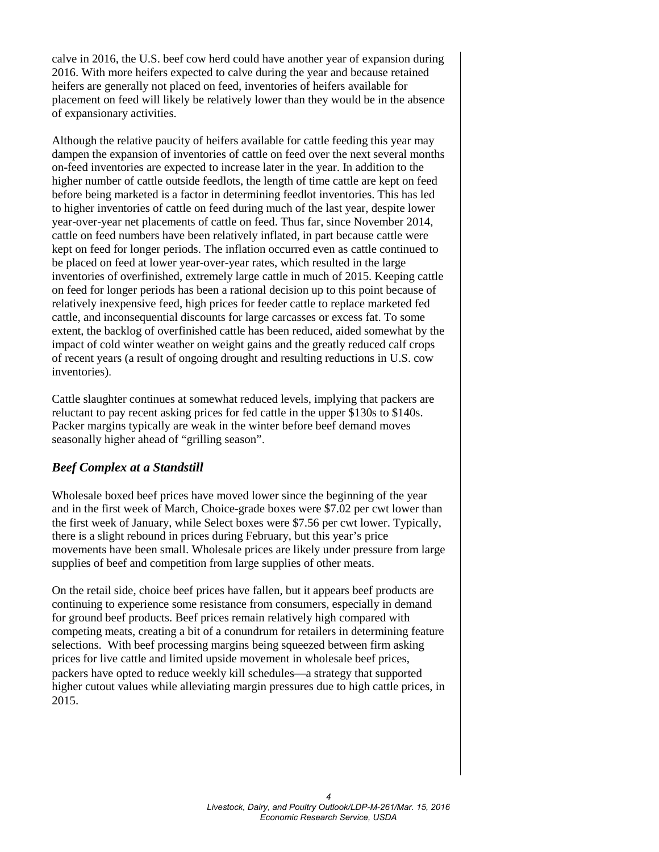calve in 2016, the U.S. beef cow herd could have another year of expansion during 2016. With more heifers expected to calve during the year and because retained heifers are generally not placed on feed, inventories of heifers available for placement on feed will likely be relatively lower than they would be in the absence of expansionary activities.

Although the relative paucity of heifers available for cattle feeding this year may dampen the expansion of inventories of cattle on feed over the next several months on-feed inventories are expected to increase later in the year. In addition to the higher number of cattle outside feedlots, the length of time cattle are kept on feed before being marketed is a factor in determining feedlot inventories. This has led to higher inventories of cattle on feed during much of the last year, despite lower year-over-year net placements of cattle on feed. Thus far, since November 2014, cattle on feed numbers have been relatively inflated, in part because cattle were kept on feed for longer periods. The inflation occurred even as cattle continued to be placed on feed at lower year-over-year rates, which resulted in the large inventories of overfinished, extremely large cattle in much of 2015. Keeping cattle on feed for longer periods has been a rational decision up to this point because of relatively inexpensive feed, high prices for feeder cattle to replace marketed fed cattle, and inconsequential discounts for large carcasses or excess fat. To some extent, the backlog of overfinished cattle has been reduced, aided somewhat by the impact of cold winter weather on weight gains and the greatly reduced calf crops of recent years (a result of ongoing drought and resulting reductions in U.S. cow inventories).

Cattle slaughter continues at somewhat reduced levels, implying that packers are reluctant to pay recent asking prices for fed cattle in the upper \$130s to \$140s. Packer margins typically are weak in the winter before beef demand moves seasonally higher ahead of "grilling season".

### *Beef Complex at a Standstill*

Wholesale boxed beef prices have moved lower since the beginning of the year and in the first week of March, Choice-grade boxes were \$7.02 per cwt lower than the first week of January, while Select boxes were \$7.56 per cwt lower. Typically, there is a slight rebound in prices during February, but this year's price movements have been small. Wholesale prices are likely under pressure from large supplies of beef and competition from large supplies of other meats.

On the retail side, choice beef prices have fallen, but it appears beef products are continuing to experience some resistance from consumers, especially in demand for ground beef products. Beef prices remain relatively high compared with competing meats, creating a bit of a conundrum for retailers in determining feature selections. With beef processing margins being squeezed between firm asking prices for live cattle and limited upside movement in wholesale beef prices, packers have opted to reduce weekly kill schedules—a strategy that supported higher cutout values while alleviating margin pressures due to high cattle prices, in 2015.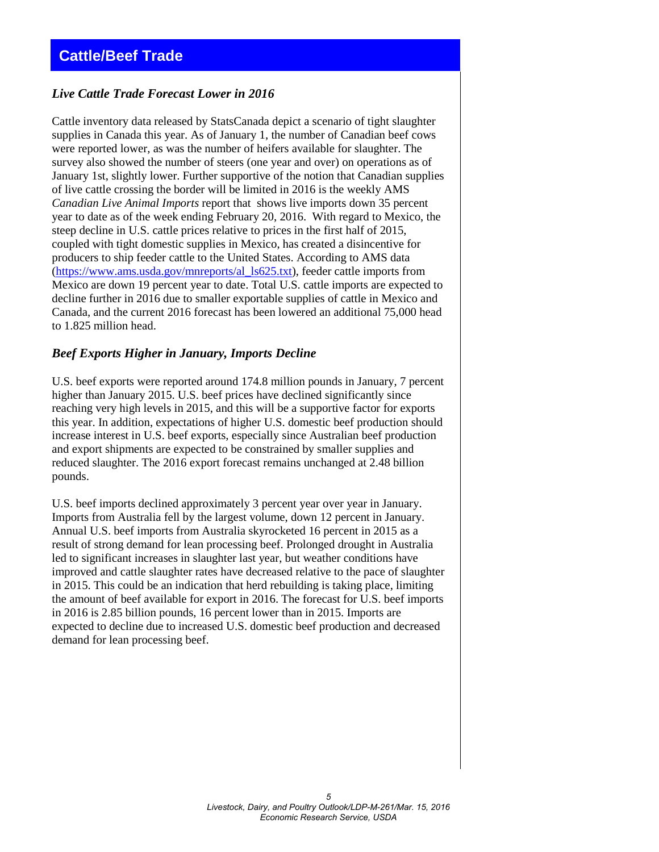### <span id="page-4-0"></span>**Cattle/Beef Trade**

### *Live Cattle Trade Forecast Lower in 2016*

Cattle inventory data released by StatsCanada depict a scenario of tight slaughter supplies in Canada this year. As of January 1, the number of Canadian beef cows were reported lower, as was the number of heifers available for slaughter. The survey also showed the number of steers (one year and over) on operations as of January 1st, slightly lower. Further supportive of the notion that Canadian supplies of live cattle crossing the border will be limited in 2016 is the weekly AMS *Canadian Live Animal Imports* report that shows live imports down 35 percent year to date as of the week ending February 20, 2016. With regard to Mexico, the steep decline in U.S. cattle prices relative to prices in the first half of 2015, coupled with tight domestic supplies in Mexico, has created a disincentive for producers to ship feeder cattle to the United States. According to AMS data [\(https://www.ams.usda.gov/mnreports/al\\_ls625.txt\)](https://www.ams.usda.gov/mnreports/al_ls625.txt), feeder cattle imports from Mexico are down 19 percent year to date. Total U.S. cattle imports are expected to decline further in 2016 due to smaller exportable supplies of cattle in Mexico and Canada, and the current 2016 forecast has been lowered an additional 75,000 head to 1.825 million head.

### *Beef Exports Higher in January, Imports Decline*

U.S. beef exports were reported around 174.8 million pounds in January, 7 percent higher than January 2015. U.S. beef prices have declined significantly since reaching very high levels in 2015, and this will be a supportive factor for exports this year. In addition, expectations of higher U.S. domestic beef production should increase interest in U.S. beef exports, especially since Australian beef production and export shipments are expected to be constrained by smaller supplies and reduced slaughter. The 2016 export forecast remains unchanged at 2.48 billion pounds.

U.S. beef imports declined approximately 3 percent year over year in January. Imports from Australia fell by the largest volume, down 12 percent in January. Annual U.S. beef imports from Australia skyrocketed 16 percent in 2015 as a result of strong demand for lean processing beef. Prolonged drought in Australia led to significant increases in slaughter last year, but weather conditions have improved and cattle slaughter rates have decreased relative to the pace of slaughter in 2015. This could be an indication that herd rebuilding is taking place, limiting the amount of beef available for export in 2016. The forecast for U.S. beef imports in 2016 is 2.85 billion pounds, 16 percent lower than in 2015. Imports are expected to decline due to increased U.S. domestic beef production and decreased demand for lean processing beef.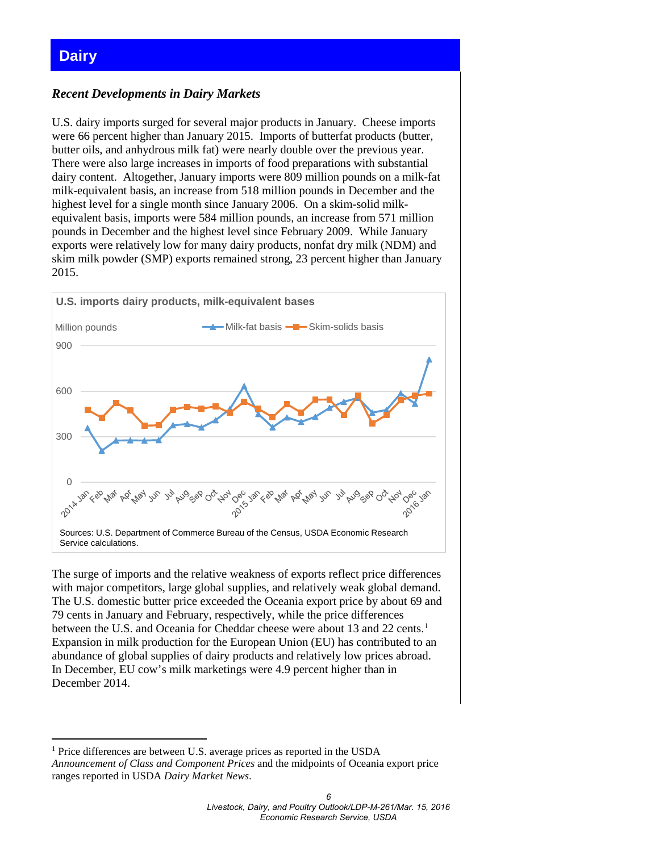### <span id="page-5-0"></span>**Dairy**

<u>.</u>

### *Recent Developments in Dairy Markets*

U.S. dairy imports surged for several major products in January. Cheese imports were 66 percent higher than January 2015. Imports of butterfat products (butter, butter oils, and anhydrous milk fat) were nearly double over the previous year. There were also large increases in imports of food preparations with substantial dairy content. Altogether, January imports were 809 million pounds on a milk-fat milk-equivalent basis, an increase from 518 million pounds in December and the highest level for a single month since January 2006. On a skim-solid milkequivalent basis, imports were 584 million pounds, an increase from 571 million pounds in December and the highest level since February 2009. While January exports were relatively low for many dairy products, nonfat dry milk (NDM) and skim milk powder (SMP) exports remained strong, 23 percent higher than January 2015.



The surge of imports and the relative weakness of exports reflect price differences with major competitors, large global supplies, and relatively weak global demand. The U.S. domestic butter price exceeded the Oceania export price by about 69 and 79 cents in January and February, respectively, while the price differences between the U.S. and Oceania for Cheddar cheese were about [1](#page-5-1)3 and 22 cents.<sup>1</sup> Expansion in milk production for the European Union (EU) has contributed to an abundance of global supplies of dairy products and relatively low prices abroad. In December, EU cow's milk marketings were 4.9 percent higher than in December 2014.

<span id="page-5-1"></span><sup>&</sup>lt;sup>1</sup> Price differences are between U.S. average prices as reported in the USDA *Announcement of Class and Component Prices* and the midpoints of Oceania export price ranges reported in USDA *Dairy Market News*.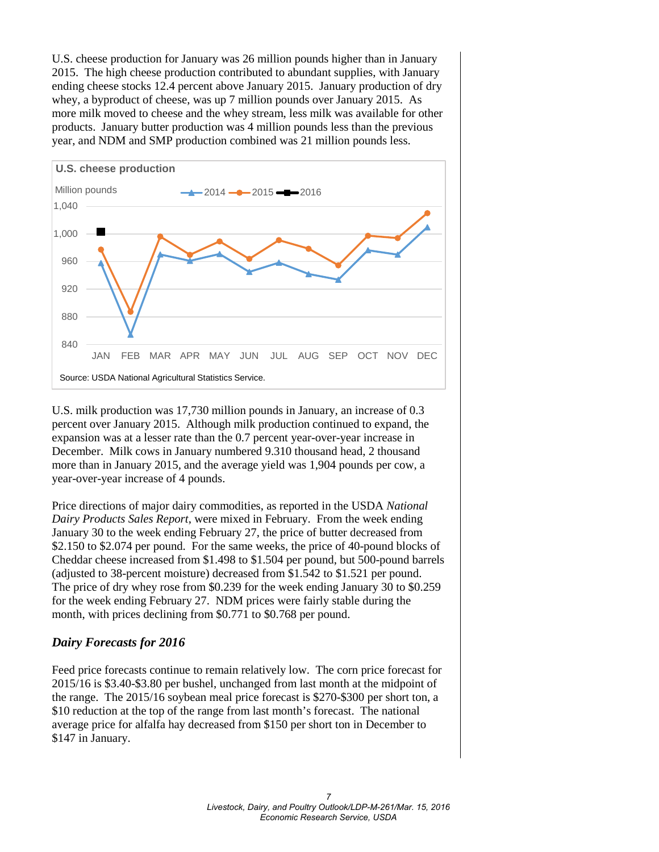U.S. cheese production for January was 26 million pounds higher than in January 2015. The high cheese production contributed to abundant supplies, with January ending cheese stocks 12.4 percent above January 2015. January production of dry whey, a byproduct of cheese, was up 7 million pounds over January 2015. As more milk moved to cheese and the whey stream, less milk was available for other products. January butter production was 4 million pounds less than the previous year, and NDM and SMP production combined was 21 million pounds less.



U.S. milk production was 17,730 million pounds in January, an increase of 0.3 percent over January 2015. Although milk production continued to expand, the expansion was at a lesser rate than the 0.7 percent year-over-year increase in December. Milk cows in January numbered 9.310 thousand head, 2 thousand more than in January 2015, and the average yield was 1,904 pounds per cow, a year-over-year increase of 4 pounds.

Price directions of major dairy commodities, as reported in the USDA *National Dairy Products Sales Report*, were mixed in February. From the week ending January 30 to the week ending February 27, the price of butter decreased from \$2.150 to \$2.074 per pound. For the same weeks, the price of 40-pound blocks of Cheddar cheese increased from \$1.498 to \$1.504 per pound, but 500-pound barrels (adjusted to 38-percent moisture) decreased from \$1.542 to \$1.521 per pound. The price of dry whey rose from \$0.239 for the week ending January 30 to \$0.259 for the week ending February 27. NDM prices were fairly stable during the month, with prices declining from \$0.771 to \$0.768 per pound.

### *Dairy Forecasts for 2016*

Feed price forecasts continue to remain relatively low. The corn price forecast for 2015/16 is \$3.40-\$3.80 per bushel, unchanged from last month at the midpoint of the range. The 2015/16 soybean meal price forecast is \$270-\$300 per short ton, a \$10 reduction at the top of the range from last month's forecast. The national average price for alfalfa hay decreased from \$150 per short ton in December to \$147 in January.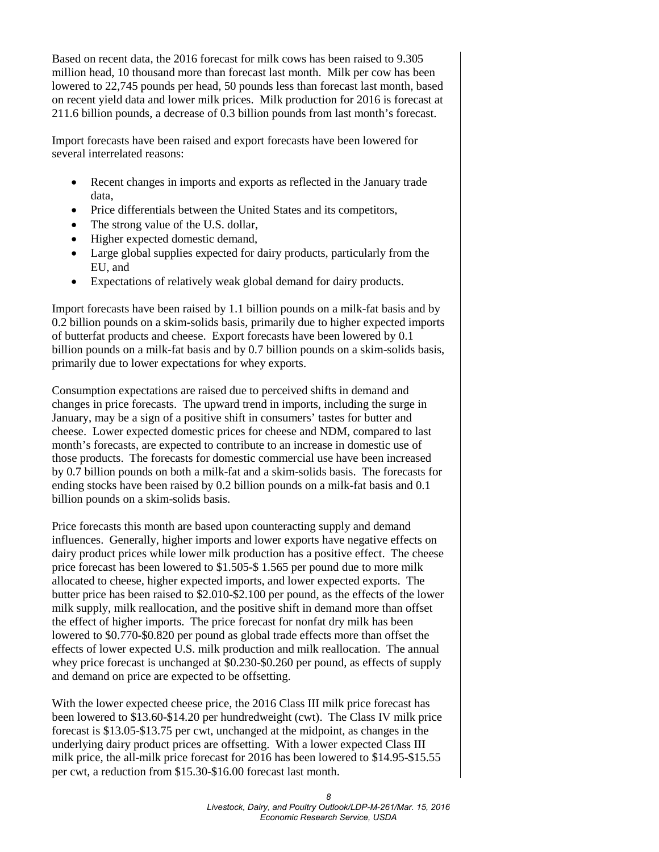Based on recent data, the 2016 forecast for milk cows has been raised to 9.305 million head, 10 thousand more than forecast last month. Milk per cow has been lowered to 22,745 pounds per head, 50 pounds less than forecast last month, based on recent yield data and lower milk prices. Milk production for 2016 is forecast at 211.6 billion pounds, a decrease of 0.3 billion pounds from last month's forecast.

Import forecasts have been raised and export forecasts have been lowered for several interrelated reasons:

- Recent changes in imports and exports as reflected in the January trade data,
- Price differentials between the United States and its competitors,
- The strong value of the U.S. dollar,
- Higher expected domestic demand,
- Large global supplies expected for dairy products, particularly from the EU, and
- Expectations of relatively weak global demand for dairy products.

Import forecasts have been raised by 1.1 billion pounds on a milk-fat basis and by 0.2 billion pounds on a skim-solids basis, primarily due to higher expected imports of butterfat products and cheese. Export forecasts have been lowered by 0.1 billion pounds on a milk-fat basis and by 0.7 billion pounds on a skim-solids basis, primarily due to lower expectations for whey exports.

Consumption expectations are raised due to perceived shifts in demand and changes in price forecasts. The upward trend in imports, including the surge in January, may be a sign of a positive shift in consumers' tastes for butter and cheese. Lower expected domestic prices for cheese and NDM, compared to last month's forecasts, are expected to contribute to an increase in domestic use of those products. The forecasts for domestic commercial use have been increased by 0.7 billion pounds on both a milk-fat and a skim-solids basis. The forecasts for ending stocks have been raised by 0.2 billion pounds on a milk-fat basis and 0.1 billion pounds on a skim-solids basis.

Price forecasts this month are based upon counteracting supply and demand influences. Generally, higher imports and lower exports have negative effects on dairy product prices while lower milk production has a positive effect. The cheese price forecast has been lowered to \$1.505-\$ 1.565 per pound due to more milk allocated to cheese, higher expected imports, and lower expected exports. The butter price has been raised to \$2.010-\$2.100 per pound, as the effects of the lower milk supply, milk reallocation, and the positive shift in demand more than offset the effect of higher imports. The price forecast for nonfat dry milk has been lowered to \$0.770-\$0.820 per pound as global trade effects more than offset the effects of lower expected U.S. milk production and milk reallocation. The annual whey price forecast is unchanged at \$0.230-\$0.260 per pound, as effects of supply and demand on price are expected to be offsetting.

With the lower expected cheese price, the 2016 Class III milk price forecast has been lowered to \$13.60-\$14.20 per hundredweight (cwt). The Class IV milk price forecast is \$13.05-\$13.75 per cwt, unchanged at the midpoint, as changes in the underlying dairy product prices are offsetting. With a lower expected Class III milk price, the all-milk price forecast for 2016 has been lowered to \$14.95-\$15.55 per cwt, a reduction from \$15.30-\$16.00 forecast last month.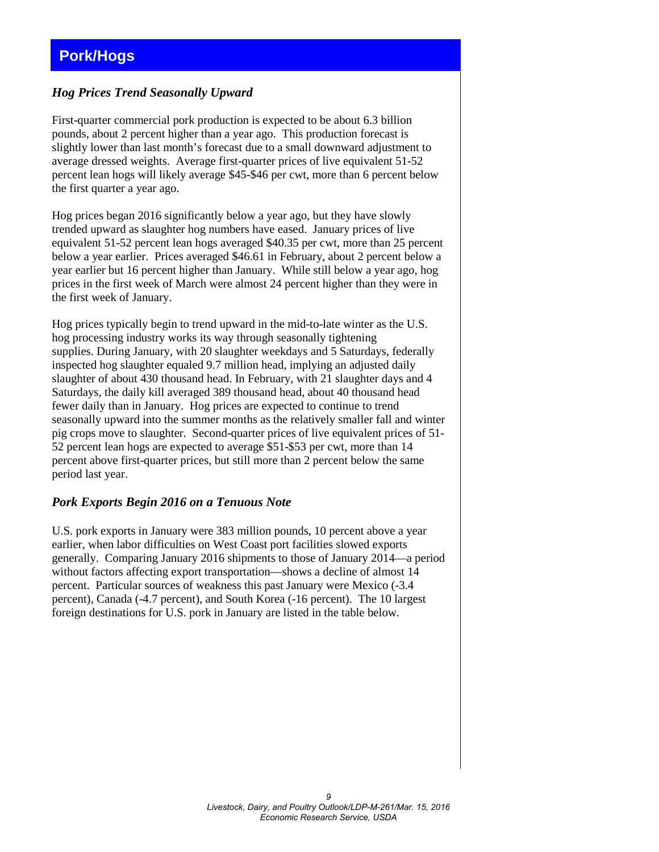### <span id="page-8-0"></span>**Pork/Hogs**

### *Hog Prices Trend Seasonally Upward*

First-quarter commercial pork production is expected to be about 6.3 billion pounds, about 2 percent higher than a year ago. This production forecast is slightly lower than last month's forecast due to a small downward adjustment to average dressed weights. Average first-quarter prices of live equivalent 51-52 percent lean hogs will likely average \$45-\$46 per cwt, more than 6 percent below the first quarter a year ago.

Hog prices began 2016 significantly below a year ago, but they have slowly trended upward as slaughter hog numbers have eased. January prices of live equivalent 51-52 percent lean hogs averaged \$40.35 per cwt, more than 25 percent below a year earlier. Prices averaged \$46.61 in February, about 2 percent below a year earlier but 16 percent higher than January. While still below a year ago, hog prices in the first week of March were almost 24 percent higher than they were in the first week of January.

Hog prices typically begin to trend upward in the mid-to-late winter as the U.S. hog processing industry works its way through seasonally tightening supplies. During January, with 20 slaughter weekdays and 5 Saturdays, federally inspected hog slaughter equaled 9.7 million head, implying an adjusted daily slaughter of about 430 thousand head. In February, with 21 slaughter days and 4 Saturdays, the daily kill averaged 389 thousand head, about 40 thousand head fewer daily than in January. Hog prices are expected to continue to trend seasonally upward into the summer months as the relatively smaller fall and winter pig crops move to slaughter. Second-quarter prices of live equivalent prices of 51- 52 percent lean hogs are expected to average \$51-\$53 per cwt, more than 14 percent above first-quarter prices, but still more than 2 percent below the same period last year.

### *Pork Exports Begin 2016 on a Tenuous Note*

U.S. pork exports in January were 383 million pounds, 10 percent above a year earlier, when labor difficulties on West Coast port facilities slowed exports generally. Comparing January 2016 shipments to those of January 2014—a period without factors affecting export transportation—shows a decline of almost 14 percent. Particular sources of weakness this past January were Mexico (-3.4 percent), Canada (-4.7 percent), and South Korea (-16 percent). The 10 largest foreign destinations for U.S. pork in January are listed in the table below.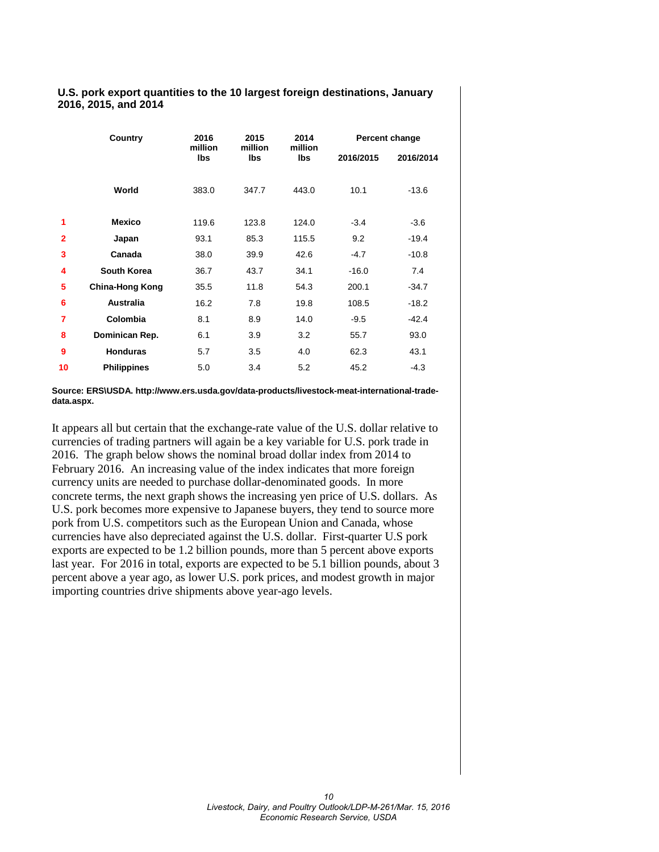### **U.S. pork export quantities to the 10 largest foreign destinations, January 2016, 2015, and 2014**

|                | Country                | 2016           | 2015           | 2014           | Percent change |           |  |  |  |  |
|----------------|------------------------|----------------|----------------|----------------|----------------|-----------|--|--|--|--|
|                |                        | million<br>lbs | million<br>lbs | million<br>lbs | 2016/2015      | 2016/2014 |  |  |  |  |
|                | World                  | 383.0          | 347.7          | 443.0          | 10.1           | $-13.6$   |  |  |  |  |
| 1              | <b>Mexico</b>          | 119.6          | 123.8          | 124.0          | $-3.4$         | $-3.6$    |  |  |  |  |
| $\overline{2}$ | Japan                  | 93.1           | 85.3           | 115.5          | 9.2            | $-19.4$   |  |  |  |  |
| 3              | Canada                 | 38.0           | 39.9           | 42.6           | $-4.7$         | $-10.8$   |  |  |  |  |
| 4              | South Korea            | 36.7           | 43.7           | 34.1           | $-16.0$        | 7.4       |  |  |  |  |
| 5              | <b>China-Hong Kong</b> | 35.5           | 11.8           | 54.3           | 200.1          | $-34.7$   |  |  |  |  |
| 6              | <b>Australia</b>       | 16.2           | 7.8            | 19.8           | 108.5          | $-18.2$   |  |  |  |  |
| 7              | Colombia               | 8.1            | 8.9            | 14.0           | $-9.5$         | $-42.4$   |  |  |  |  |
| 8              | Dominican Rep.         | 6.1            | 3.9            | 3.2            | 55.7           | 93.0      |  |  |  |  |
| 9              | <b>Honduras</b>        | 5.7            | 3.5            | 4.0            | 62.3           | 43.1      |  |  |  |  |
| 10             | <b>Philippines</b>     | 5.0            | 3.4            | 5.2            | 45.2           | $-4.3$    |  |  |  |  |

**Source: ERS\USDA. http://www.ers.usda.gov/data-products/livestock-meat-international-tradedata.aspx.**

It appears all but certain that the exchange-rate value of the U.S. dollar relative to currencies of trading partners will again be a key variable for U.S. pork trade in 2016. The graph below shows the nominal broad dollar index from 2014 to February 2016. An increasing value of the index indicates that more foreign currency units are needed to purchase dollar-denominated goods. In more concrete terms, the next graph shows the increasing yen price of U.S. dollars. As U.S. pork becomes more expensive to Japanese buyers, they tend to source more pork from U.S. competitors such as the European Union and Canada, whose currencies have also depreciated against the U.S. dollar. First-quarter U.S pork exports are expected to be 1.2 billion pounds, more than 5 percent above exports last year. For 2016 in total, exports are expected to be 5.1 billion pounds, about 3 percent above a year ago, as lower U.S. pork prices, and modest growth in major importing countries drive shipments above year-ago levels.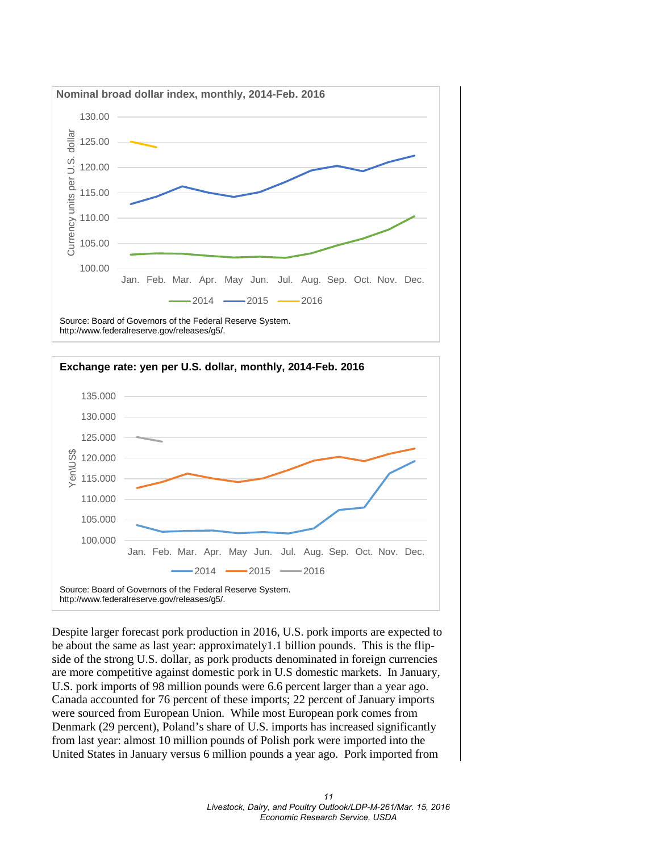





Despite larger forecast pork production in 2016, U.S. pork imports are expected to be about the same as last year: approximately1.1 billion pounds. This is the flipside of the strong U.S. dollar, as pork products denominated in foreign currencies are more competitive against domestic pork in U.S domestic markets. In January, U.S. pork imports of 98 million pounds were 6.6 percent larger than a year ago. Canada accounted for 76 percent of these imports; 22 percent of January imports were sourced from European Union. While most European pork comes from Denmark (29 percent), Poland's share of U.S. imports has increased significantly from last year: almost 10 million pounds of Polish pork were imported into the United States in January versus 6 million pounds a year ago. Pork imported from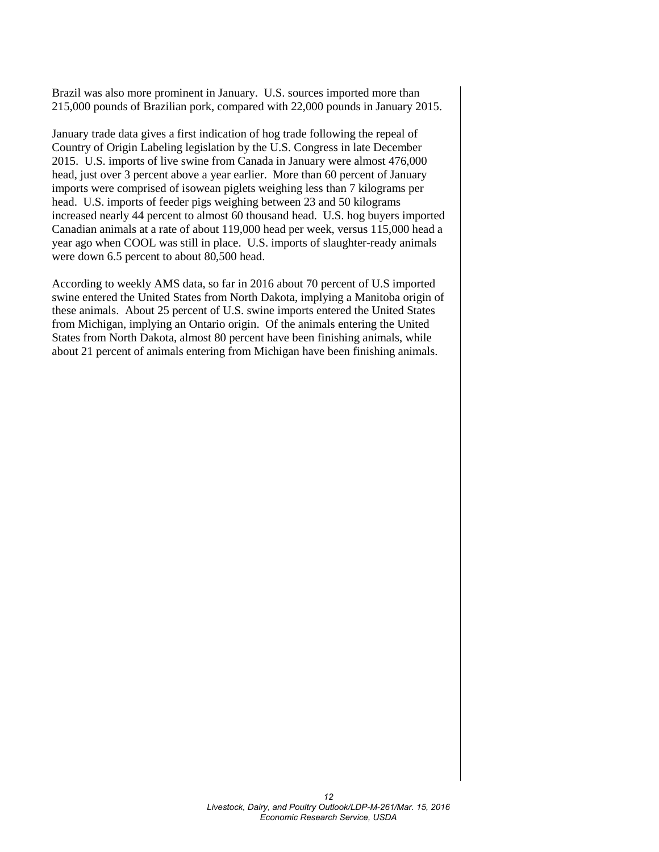Brazil was also more prominent in January. U.S. sources imported more than 215,000 pounds of Brazilian pork, compared with 22,000 pounds in January 2015.

January trade data gives a first indication of hog trade following the repeal of Country of Origin Labeling legislation by the U.S. Congress in late December 2015. U.S. imports of live swine from Canada in January were almost 476,000 head, just over 3 percent above a year earlier. More than 60 percent of January imports were comprised of isowean piglets weighing less than 7 kilograms per head. U.S. imports of feeder pigs weighing between 23 and 50 kilograms increased nearly 44 percent to almost 60 thousand head. U.S. hog buyers imported Canadian animals at a rate of about 119,000 head per week, versus 115,000 head a year ago when COOL was still in place. U.S. imports of slaughter-ready animals were down 6.5 percent to about 80,500 head.

According to weekly AMS data, so far in 2016 about 70 percent of U.S imported swine entered the United States from North Dakota, implying a Manitoba origin of these animals. About 25 percent of U.S. swine imports entered the United States from Michigan, implying an Ontario origin. Of the animals entering the United States from North Dakota, almost 80 percent have been finishing animals, while about 21 percent of animals entering from Michigan have been finishing animals.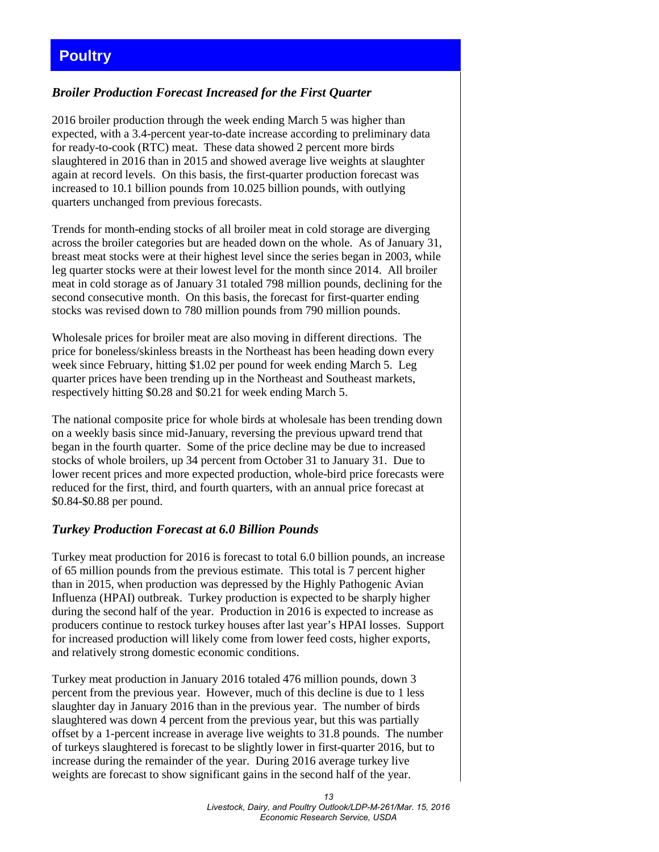### <span id="page-12-0"></span>**Poultry**

### *Broiler Production Forecast Increased for the First Quarter*

2016 broiler production through the week ending March 5 was higher than expected, with a 3.4-percent year-to-date increase according to preliminary data for ready-to-cook (RTC) meat. These data showed 2 percent more birds slaughtered in 2016 than in 2015 and showed average live weights at slaughter again at record levels. On this basis, the first-quarter production forecast was increased to 10.1 billion pounds from 10.025 billion pounds, with outlying quarters unchanged from previous forecasts.

Trends for month-ending stocks of all broiler meat in cold storage are diverging across the broiler categories but are headed down on the whole. As of January 31, breast meat stocks were at their highest level since the series began in 2003, while leg quarter stocks were at their lowest level for the month since 2014. All broiler meat in cold storage as of January 31 totaled 798 million pounds, declining for the second consecutive month. On this basis, the forecast for first-quarter ending stocks was revised down to 780 million pounds from 790 million pounds.

Wholesale prices for broiler meat are also moving in different directions. The price for boneless/skinless breasts in the Northeast has been heading down every week since February, hitting \$1.02 per pound for week ending March 5. Leg quarter prices have been trending up in the Northeast and Southeast markets, respectively hitting \$0.28 and \$0.21 for week ending March 5.

The national composite price for whole birds at wholesale has been trending down on a weekly basis since mid-January, reversing the previous upward trend that began in the fourth quarter. Some of the price decline may be due to increased stocks of whole broilers, up 34 percent from October 31 to January 31. Due to lower recent prices and more expected production, whole-bird price forecasts were reduced for the first, third, and fourth quarters, with an annual price forecast at \$0.84-\$0.88 per pound.

### *Turkey Production Forecast at 6.0 Billion Pounds*

Turkey meat production for 2016 is forecast to total 6.0 billion pounds, an increase of 65 million pounds from the previous estimate. This total is 7 percent higher than in 2015, when production was depressed by the Highly Pathogenic Avian Influenza (HPAI) outbreak. Turkey production is expected to be sharply higher during the second half of the year. Production in 2016 is expected to increase as producers continue to restock turkey houses after last year's HPAI losses. Support for increased production will likely come from lower feed costs, higher exports, and relatively strong domestic economic conditions.

Turkey meat production in January 2016 totaled 476 million pounds, down 3 percent from the previous year. However, much of this decline is due to 1 less slaughter day in January 2016 than in the previous year. The number of birds slaughtered was down 4 percent from the previous year, but this was partially offset by a 1-percent increase in average live weights to 31.8 pounds. The number of turkeys slaughtered is forecast to be slightly lower in first-quarter 2016, but to increase during the remainder of the year. During 2016 average turkey live weights are forecast to show significant gains in the second half of the year.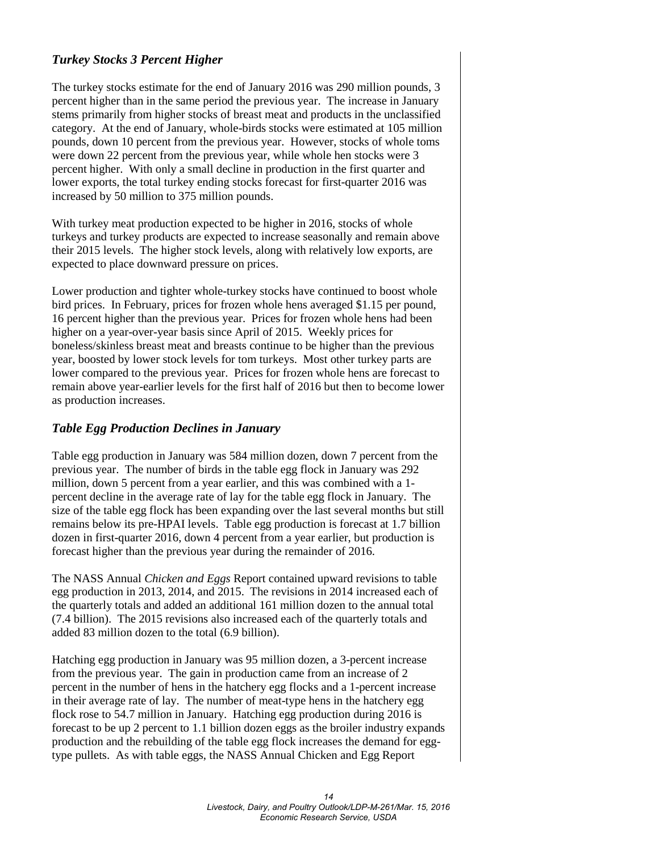### *Turkey Stocks 3 Percent Higher*

The turkey stocks estimate for the end of January 2016 was 290 million pounds, 3 percent higher than in the same period the previous year. The increase in January stems primarily from higher stocks of breast meat and products in the unclassified category. At the end of January, whole-birds stocks were estimated at 105 million pounds, down 10 percent from the previous year. However, stocks of whole toms were down 22 percent from the previous year, while whole hen stocks were 3 percent higher. With only a small decline in production in the first quarter and lower exports, the total turkey ending stocks forecast for first-quarter 2016 was increased by 50 million to 375 million pounds.

With turkey meat production expected to be higher in 2016, stocks of whole turkeys and turkey products are expected to increase seasonally and remain above their 2015 levels. The higher stock levels, along with relatively low exports, are expected to place downward pressure on prices.

Lower production and tighter whole-turkey stocks have continued to boost whole bird prices. In February, prices for frozen whole hens averaged \$1.15 per pound, 16 percent higher than the previous year. Prices for frozen whole hens had been higher on a year-over-year basis since April of 2015. Weekly prices for boneless/skinless breast meat and breasts continue to be higher than the previous year, boosted by lower stock levels for tom turkeys. Most other turkey parts are lower compared to the previous year. Prices for frozen whole hens are forecast to remain above year-earlier levels for the first half of 2016 but then to become lower as production increases.

### *Table Egg Production Declines in January*

Table egg production in January was 584 million dozen, down 7 percent from the previous year. The number of birds in the table egg flock in January was 292 million, down 5 percent from a year earlier, and this was combined with a 1 percent decline in the average rate of lay for the table egg flock in January. The size of the table egg flock has been expanding over the last several months but still remains below its pre-HPAI levels. Table egg production is forecast at 1.7 billion dozen in first-quarter 2016, down 4 percent from a year earlier, but production is forecast higher than the previous year during the remainder of 2016.

The NASS Annual *Chicken and Eggs* Report contained upward revisions to table egg production in 2013, 2014, and 2015. The revisions in 2014 increased each of the quarterly totals and added an additional 161 million dozen to the annual total (7.4 billion). The 2015 revisions also increased each of the quarterly totals and added 83 million dozen to the total (6.9 billion).

Hatching egg production in January was 95 million dozen, a 3-percent increase from the previous year. The gain in production came from an increase of 2 percent in the number of hens in the hatchery egg flocks and a 1-percent increase in their average rate of lay. The number of meat-type hens in the hatchery egg flock rose to 54.7 million in January. Hatching egg production during 2016 is forecast to be up 2 percent to 1.1 billion dozen eggs as the broiler industry expands production and the rebuilding of the table egg flock increases the demand for eggtype pullets. As with table eggs, the NASS Annual Chicken and Egg Report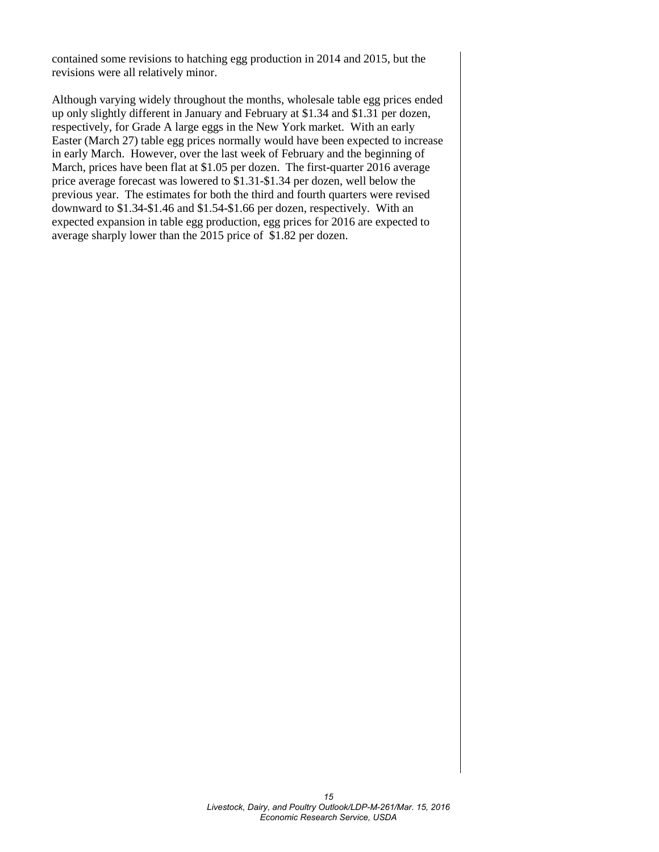contained some revisions to hatching egg production in 2014 and 2015, but the revisions were all relatively minor.

Although varying widely throughout the months, wholesale table egg prices ended up only slightly different in January and February at \$1.34 and \$1.31 per dozen, respectively, for Grade A large eggs in the New York market. With an early Easter (March 27) table egg prices normally would have been expected to increase in early March. However, over the last week of February and the beginning of March, prices have been flat at \$1.05 per dozen. The first-quarter 2016 average price average forecast was lowered to \$1.31-\$1.34 per dozen, well below the previous year. The estimates for both the third and fourth quarters were revised downward to \$1.34-\$1.46 and \$1.54-\$1.66 per dozen, respectively. With an expected expansion in table egg production, egg prices for 2016 are expected to average sharply lower than the 2015 price of \$1.82 per dozen.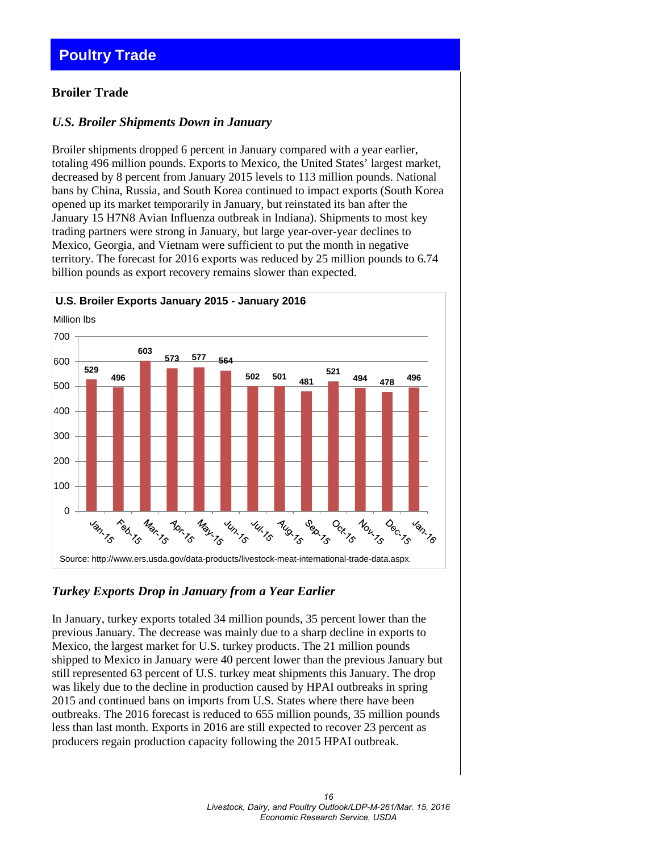### <span id="page-15-0"></span>**Poultry Trade**

### **Broiler Trade**

### *U.S. Broiler Shipments Down in January*

Broiler shipments dropped 6 percent in January compared with a year earlier, totaling 496 million pounds. Exports to Mexico, the United States' largest market, decreased by 8 percent from January 2015 levels to 113 million pounds. National bans by China, Russia, and South Korea continued to impact exports (South Korea opened up its market temporarily in January, but reinstated its ban after the January 15 H7N8 Avian Influenza outbreak in Indiana). Shipments to most key trading partners were strong in January, but large year-over-year declines to Mexico, Georgia, and Vietnam were sufficient to put the month in negative territory. The forecast for 2016 exports was reduced by 25 million pounds to 6.74 billion pounds as export recovery remains slower than expected.



### *Turkey Exports Drop in January from a Year Earlier*

In January, turkey exports totaled 34 million pounds, 35 percent lower than the previous January. The decrease was mainly due to a sharp decline in exports to Mexico, the largest market for U.S. turkey products. The 21 million pounds shipped to Mexico in January were 40 percent lower than the previous January but still represented 63 percent of U.S. turkey meat shipments this January. The drop was likely due to the decline in production caused by HPAI outbreaks in spring 2015 and continued bans on imports from U.S. States where there have been outbreaks. The 2016 forecast is reduced to 655 million pounds, 35 million pounds less than last month. Exports in 2016 are still expected to recover 23 percent as producers regain production capacity following the 2015 HPAI outbreak.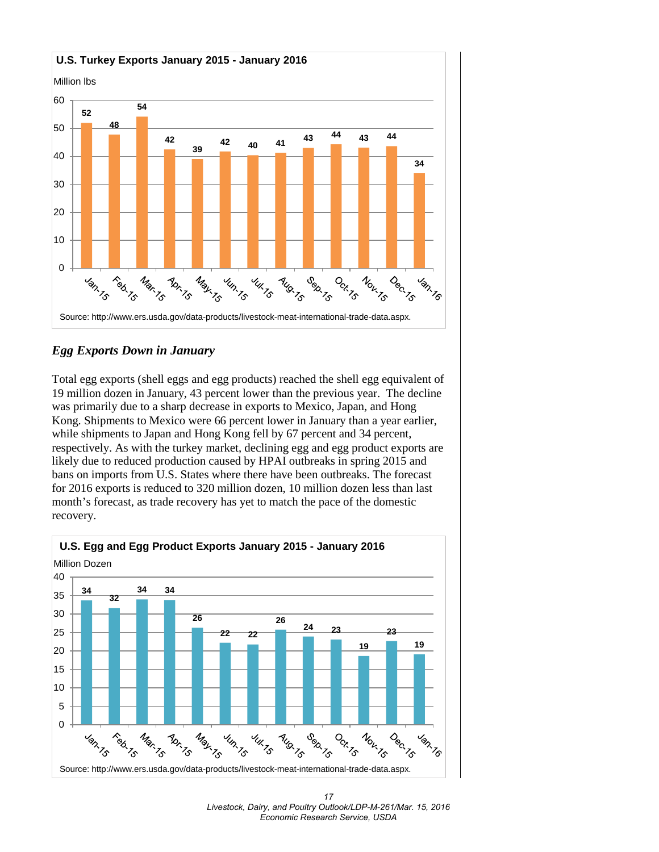

### *Egg Exports Down in January*

Total egg exports (shell eggs and egg products) reached the shell egg equivalent of 19 million dozen in January, 43 percent lower than the previous year. The decline was primarily due to a sharp decrease in exports to Mexico, Japan, and Hong Kong. Shipments to Mexico were 66 percent lower in January than a year earlier, while shipments to Japan and Hong Kong fell by 67 percent and 34 percent, respectively. As with the turkey market, declining egg and egg product exports are likely due to reduced production caused by HPAI outbreaks in spring 2015 and bans on imports from U.S. States where there have been outbreaks. The forecast for 2016 exports is reduced to 320 million dozen, 10 million dozen less than last month's forecast, as trade recovery has yet to match the pace of the domestic recovery.



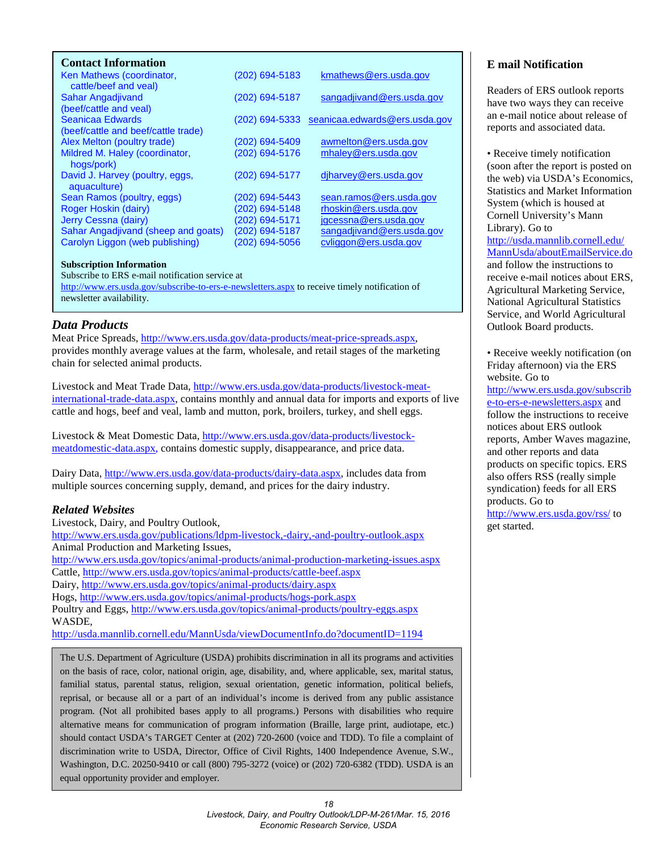<span id="page-17-0"></span>

| <b>Contact Information</b>                         |                  |                               |
|----------------------------------------------------|------------------|-------------------------------|
| Ken Mathews (coordinator,<br>cattle/beef and veal) | (202) 694-5183   | kmathews@ers.usda.gov         |
| Sahar Angadjivand                                  | (202) 694-5187   | sangadjivand@ers.usda.gov     |
| (beef/cattle and veal)                             |                  |                               |
| Seanicaa Edwards                                   | $(202)$ 694-5333 | seanicaa.edwards@ers.usda.gov |
| (beef/cattle and beef/cattle trade)                |                  |                               |
| Alex Melton (poultry trade)                        | (202) 694-5409   | awmelton@ers.usda.gov         |
| Mildred M. Haley (coordinator,                     | (202) 694-5176   | mhaley@ers.usda.gov           |
| hogs/pork)                                         |                  |                               |
| David J. Harvey (poultry, eggs,                    | (202) 694-5177   | djharvey@ers.usda.gov         |
| aquaculture)                                       |                  |                               |
| Sean Ramos (poultry, eggs)                         | (202) 694-5443   | sean.ramos@ers.usda.gov       |
| Roger Hoskin (dairy)                               | (202) 694-5148   | rhoskin@ers.usda.gov          |
| Jerry Cessna (dairy)                               | (202) 694-5171   | jgcessna@ers.usda.gov         |
| Sahar Angadjivand (sheep and goats)                | (202) 694-5187   | sangadjivand@ers.usda.gov     |
| Carolyn Liggon (web publishing)                    | (202) 694-5056   | cyliggon@ers.usda.gov         |
|                                                    |                  |                               |

#### **Subscription Information**

Subscribe to ERS e-mail notification service at

<http://www.ers.usda.gov/subscribe-to-ers-e-newsletters.aspx> to receive timely notification of newsletter availability.

### *Data Products*

Meat Price Spreads, [http://www.ers.usda.gov/data-products/meat-price-spreads.aspx,](http://www.ers.usda.gov/data-products/meat-price-spreads.aspx) provides monthly average values at the farm, wholesale, and retail stages of the marketing chain for selected animal products.

Livestock and Meat Trade Data, [http://www.ers.usda.gov/data-products/livestock-meat](http://www.ers.usda.gov/data-products/livestock-meat-international-trade-data.aspx)[international-trade-data.aspx,](http://www.ers.usda.gov/data-products/livestock-meat-international-trade-data.aspx) contains monthly and annual data for imports and exports of live cattle and hogs, beef and veal, lamb and mutton, pork, broilers, turkey, and shell eggs.

Livestock & Meat Domestic Data, [http://www.ers.usda.gov/data-products/livestock](http://www.ers.usda.gov/data-products/livestock-meatdomestic-data.aspx)[meatdomestic-data.aspx,](http://www.ers.usda.gov/data-products/livestock-meatdomestic-data.aspx) contains domestic supply, disappearance, and price data.

Dairy Data, [http://www.ers.usda.gov/data-products/dairy-data.aspx,](http://www.ers.usda.gov/data-products/dairy-data.aspx) includes data from multiple sources concerning supply, demand, and prices for the dairy industry.

#### *Related Websites*

Livestock, Dairy, and Poultry Outlook, <http://www.ers.usda.gov/publications/ldpm-livestock,-dairy,-and-poultry-outlook.aspx> Animal Production and Marketing Issues, <http://www.ers.usda.gov/topics/animal-products/animal-production-marketing-issues.aspx> Cattle,<http://www.ers.usda.gov/topics/animal-products/cattle-beef.aspx> Dairy,<http://www.ers.usda.gov/topics/animal-products/dairy.aspx> Hogs,<http://www.ers.usda.gov/topics/animal-products/hogs-pork.aspx> Poultry and Eggs,<http://www.ers.usda.gov/topics/animal-products/poultry-eggs.aspx> WASDE, <http://usda.mannlib.cornell.edu/MannUsda/viewDocumentInfo.do?documentID=1194>

The U.S. Department of Agriculture (USDA) prohibits discrimination in all its programs and activities on the basis of race, color, national origin, age, disability, and, where applicable, sex, marital status, familial status, parental status, religion, sexual orientation, genetic information, political beliefs, reprisal, or because all or a part of an individual's income is derived from any public assistance program. (Not all prohibited bases apply to all programs.) Persons with disabilities who require alternative means for communication of program information (Braille, large print, audiotape, etc.) should contact USDA's TARGET Center at (202) 720-2600 (voice and TDD). To file a complaint of discrimination write to USDA, Director, Office of Civil Rights, 1400 Independence Avenue, S.W., Washington, D.C. 20250-9410 or call (800) 795-3272 (voice) or (202) 720-6382 (TDD). USDA is an equal opportunity provider and employer.

### **E mail Notification**

Readers of ERS outlook reports have two ways they can receive an e-mail notice about release of reports and associated data.

• Receive timely notification (soon after the report is posted on the web) via USDA's Economics, Statistics and Market Information System (which is housed at Cornell University's Mann Library). Go to [http://usda.mannlib.cornell.edu/](http://usda.mannlib.cornell.edu/MannUsda/aboutEmailService.do) [MannUsda/aboutEmailService.do](http://usda.mannlib.cornell.edu/MannUsda/aboutEmailService.do) and follow the instructions to receive e-mail notices about ERS, Agricultural Marketing Service, National Agricultural Statistics Service, and World Agricultural Outlook Board products.

• Receive weekly notification (on Friday afternoon) via the ERS website. Go to

[http://www.ers.usda.gov/subscrib](http://www.ers.usda.gov/subscribe-to-ers-e-newsletters.aspx) [e-to-ers-e-newsletters.aspx](http://www.ers.usda.gov/subscribe-to-ers-e-newsletters.aspx) and follow the instructions to receive notices about ERS outlook reports, Amber Waves magazine, and other reports and data products on specific topics. ERS also offers RSS (really simple syndication) feeds for all ERS products. Go to <http://www.ers.usda.gov/rss/> to get started.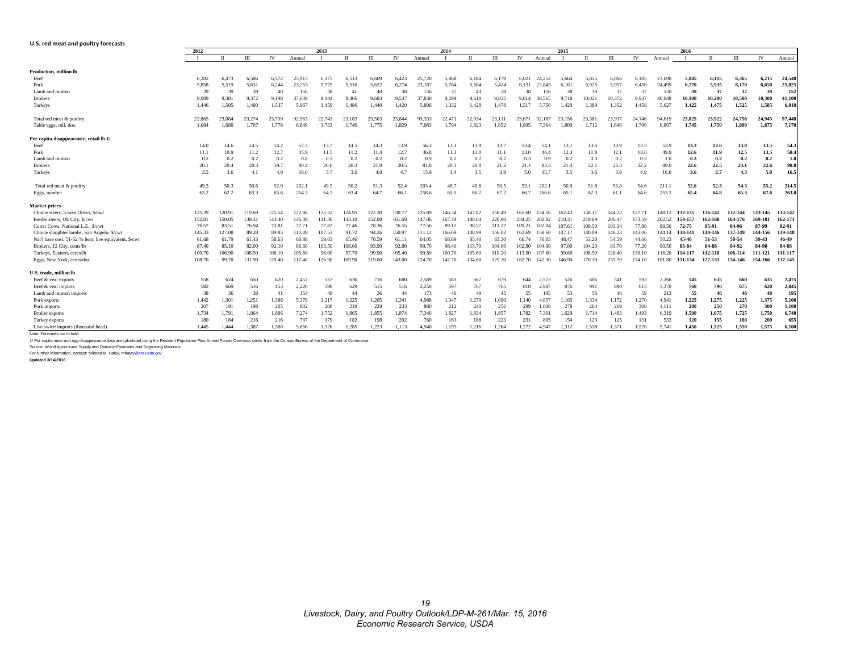#### <span id="page-18-0"></span>**U.S. red meat and poultry forecasts**

|                                                        | 2012   | 2013   |        |        |                 |                | 2014       |        |           |                 |                | 2015         |        |           |        |        |              |        | 2016           |        |         |         |         |         |         |
|--------------------------------------------------------|--------|--------|--------|--------|-----------------|----------------|------------|--------|-----------|-----------------|----------------|--------------|--------|-----------|--------|--------|--------------|--------|----------------|--------|---------|---------|---------|---------|---------|
|                                                        |        |        | III    | IV     | Annual          |                | $_{\rm H}$ | ΠI     | <b>IV</b> | Annual          |                | $\mathbf{H}$ | III    | <b>IV</b> | Annual |        | $\mathbf{H}$ | Ш      | IV             | Annual |         | $\Pi$   | Ш       | IV      | Annual  |
| <b>Production, million lb</b>                          |        |        |        |        |                 |                |            |        |           |                 |                |              |        |           |        |        |              |        |                |        |         |         |         |         |         |
| Beef                                                   | 6,282  | 6.473  | 6.586  | 6.572  | 25,913          | 6,175          | 6,513      | 6.609  | 6,423     | 25,720          | 5.868          | 6,184        | 6,179  | 6,021     | 24.252 | 5.664  | 5,855        | 6.066  | 6,105          | 23.690 | 5,845   | 6,115   | 6,365   | 6.215   | 24,540  |
| Pork                                                   | 5.858  | 5.519  | 5.631  | 6.244  | 23.253          | 5,775          | 5.516      | 5,622  | 6.274     | 23.187          | 5.784          | 5.504        | 5,424  | 6.131     | 22.843 | 6.161  | 5.925        | 5.957  | 6,456          | 24.499 | 6,270   | 5,935   | 6,170   | 6,650   | 25,025  |
| Lamb and mutton                                        | 39     | 39     | 39     | 40     | 156             | 38             | 41         | 40     | 38        | 156             | 37             | 43           | 38     | 38        | 156    | 38     | 39           | 37     | 37             | 150    | 39      | 37      | 37      | 39      | 152     |
| <b>Broilers</b>                                        | 9.089  | 9.381  | 9,372  | 9.198  |                 |                | 9.466      | 9.683  | 9.537     |                 |                | 9.618        | 9.835  | 9.814     | 38.565 | 9.718  | 10.021       | 10.372 |                | 40.048 | 10,100  | 10,200  | 10.500  | 10,300  | 41,100  |
| Turkeys                                                | 1.446  | 1.505  | 1.480  | 1.537  | 37,039<br>5.967 | 9,144<br>1.459 | 1.486      | 1.440  | 1.420     | 37,830<br>5.806 | 9,299<br>1.332 | 1,428        | 1.478  | 1.517     | 5,756  | 1.429  | 1.389        | 1.352  | 9,937<br>1.458 | 5,627  | 1,425   | 1,475   | 1,525   | 1,585   | 6,010   |
| Total red meat & poultry                               | 22,865 | 23.084 | 23.274 | 23.739 | 92.963          | 22.743         | 23.183     | 23.563 | 23.844    | 93.333          | 22,47          | 22.934       | 23.111 | 23.671    | 92.187 | 23.156 | 23.381       | 23.937 | 24.146         | 94.619 | 23.825  | 23.922  | 24.756  | 24,945  | 97.448  |
| Table eggs, mil. doz.                                  | 1.684  | 1.680  | 1,707  | 1.778  | 6.849           | 1.733          | 1.746      | 1.775  | 1.829     | 7.083           | 1.794          | 1.823        | 1.852  | 1.895     | 7.364  | 1.809  | 1.712        | 1.646  | 1.700          | 6.867  | 1.745   | 1.750   | 1.800   | 1.875   | 7.170   |
| Per capita disappearance, retail lb 1/                 |        |        |        |        |                 |                |            |        |           |                 |                |              |        |           |        |        |              |        |                |        |         |         |         |         |         |
| Beef                                                   | 14.0   | 14.6   | 14.5   | 14.2   | 57.3            | 13.7           | 14.5       | 14.3   | 13.9      | 56.3            | 13.1           | 13.9         | 13.7   | 13.4      | 54.    | 13.1   | 13.6         | 13.9   | 13.3           | 53.9   | 13.3    | 13.6    | 13.8    | 13.5    | 54.3    |
| Pork                                                   | 11.1   | 10.9   | 11.2   | 12.7   | 45.9            | 11.5           | 11.2       | 11.4   | 12.7      | 46.8            | 11.3           | 11.0         | 11.1   | 13.0      | 46.4   | 12.3   | 11.8         | 12.1   | 13.6           | 49.9   | 12.6    | 11.9    | 12.5    | 13.5    | 50.4    |
| Lamb and mutton                                        | 0.2    | 0.2    | 0.2    | 0.2    | 0.8             | 0.3            | 0.2        | 0.2    | 0.2       | 0.9             | 0.2            | 0.2          | 0.2    | 0.3       | 0.9    | 0.2    | 0.3          | 0.2    | 0.3            | 1.0    | 0.3     | 0.2     | 0.2     | 0.2     | 1.0     |
| <b>Broilers</b>                                        | 20.1   | 20.4   | 20.3   | 19.7   | 80.4            | 20.0           | 20.3       | 21.0   | 20.5      | 81.8            | 20.3           | 20.8         | 21.2   | 21.1      | 83.3   | 21.4   | 22.1         | 23.3   | 22.2           | 89.0   | 22.6    | 22.5    | 23.1    | 22.6    | 90.8    |
| Turkeys                                                | 3.5    | 3.6    | 4.1    | 4.9    | 16.0            | 3.7            | 3.6        | 4.0    | 4.7       | 15.9            | 3.4            | 3.5          | 3.9    | 5.0       | 15.7   | 3.5    | 3.6          | 3.9    | 4.9            | 16.0   | 3.6     | 3.7     | 4.3     | 5.0     | 16.5    |
| Total red meat & poultry                               | 49.3   | 50.3   | 50.6   | 52.0   | 202.1           | 49.5           | 50.2       | 51.3   | 52.4      | 203.4           | 48.7           | 49.8         | 50.5   | 53.1      | 202.1  | 50.9   | 51.8         | 53.8   | 54.6           | 211.1  | 52.6    | 52.3    | 54.3    | 55.2    | 214.5   |
| Eggs, number                                           | 63.2   | 62.2   | 63.3   | 65.6   | 254.3           | 64.3           | 63.4       | 64.7   | 66.1      | 258.6           | 65.5           | 66.2         | 67.2   | 66.7      | 266.6  | 65.1   | 62.3         | 61.1   | 64.6           | 253.2  | 65.4    | 64.8    | 65.3    | 67.6    | 263.0   |
| <b>Market prices</b>                                   |        |        |        |        |                 |                |            |        |           |                 |                |              |        |           |        |        |              |        |                |        |         |         |         |         |         |
| Choice steers, 5-area Direct, \$/cwt                   | 125.29 | 120.91 | 119.69 | 125.54 | 122.86          | 125.52         | 124.95     | 122.30 | 130.77    | 125.89          | 146.34         | 147.82       | 158.49 | 165.60    | 154.56 | 162.43 | 158.11       | 144.22 | 127.7          | 148.12 | 132-135 | 136-142 | 132-144 | 133-145 | 133-142 |
| Feeder steers, Ok City, \$/cwt                         | 152.81 | 150.05 | 139.31 | 143.40 | 146.39          | 141.36         | 133.10     | 152.08 | 161.69    | 147.06          | 167.49         | 188.64       | 220.90 | 234.25    | 202.82 | 210.31 | 219.69       | 206.47 | 173.59         | 202.52 | 154-157 | 162-168 | 164-176 | 169-181 | 162-171 |
| Cutter Cows, National L.E., \$/cwt                     | 76.57  | 83.51  | 76.94  | 73.81  | 77.71           | 77.87          | 77.46      | 78.36  | 76.55     | 77.56           | 89.12          | 98.57        | 111.27 | 109.21    | 102.04 | 107.61 | 109.50       | 103.34 | 77.80          | 99.56  | 72-75   | 85-91   | 84-96   | 87-99   | 82-91   |
| Choice slaughter lambs, San Angelo, \$/cw              | 145.33 | 127.08 | 89.28  | 89.85  | 112.89          | 107.53         | 91.72      | 94.26  | 150.97    | 111.12          | 166.69         | 148.99       | 156.02 | 162.69    | 158.60 | 147.17 | 140.09       | 146.23 | 143.06         | 144.14 | 138-141 | 140-146 | 137-149 | 144-150 | 139-148 |
| Nat'l base cost, 51-52 % lean, live equivalent, \$/cwt | 61.68  | 61.79  | 61.43  | 58.63  | 60.88           | 59.03          | 65.46      | 70.59  | 61.11     | 64.05           | 68.69          | 85.40        | 83.30  | 66.74     | 76.03  | 48.47  | 53.20        | 54.59  | 44.66          | 50.23  | 45-46   | 51-53   | 50-54   | 39-43   | 46-49   |
| Broilers, 12 City, cents/lb                            | 87.40  | 85.10  | 82.00  | 92.10  | 86.60           | 103.50         | 108.60     | 93.90  | 92.80     | 99.70           | 98.40          | 113.70       | 104.60 | 102.80    | 104.90 | 97.00  | 104.20       | 83.70  | 77.20          | 90.50  | 83-84   | 84-88   | 84-92   | 84-90   | 84-88   |
| Turkeys, Eastern, cents/lb                             | 100.70 | 106.90 | 108.50 | 106.10 | 105.60          | 96.00          | 97.70      | 99.90  | 105.40    | 99.80           | 100.70         | 105.60       | 110.20 | 113.90    | 107.60 | 99.60  | 108.50       | 126.40 | 130.10         | 116.20 | 114-117 | 112-118 | 106-114 | 111-121 | 111-117 |
| Eggs, New York, cents/doz                              | 108.70 | 99.70  | 131.90 | 129.40 | 117.40          | 126.90         | 109.90     | 119.00 | 143.00    | 124.70          | 142.70         | 134.60       | 129.30 | 162.70    | 142.30 | 146.90 | 170.30       | 235.70 | 174.10         | 181.80 | 131-134 | 127-133 | 134-146 | 154-166 | 137-145 |
| U.S. trade, million lb                                 |        |        |        |        |                 |                |            |        |           |                 |                |              |        |           |        |        |              |        |                |        |         |         |         |         |         |
| Beef & yeal exports                                    | 558    | 624    | 650    | 620    | 2.452           | 557            | 636        | 716    | 680       | 2.589           | 583            | 667          | 679    | 644       | 2.573  | 526    | 606          | 541    | 593            | 2.266  | 545     | 635     | 660     | 635     | 2,475   |
| Beef & veal imports                                    | 582    | 669    | 516    | 453    | 2,220           | 590            | 629        | 515    | 516       | 2,250           | 597            | 767          | 765    | 818       | 2.947  | 876    | 991          | 890    | 613            | 3,370  | 760     | 790     | 675     | 620     | 2,845   |
| Lamb and mutton imports                                | 38     | 36     | 38     | 41     | 154             | 49             | 44         | 36     | 44        | 173             | 46             | 49           | 45     | 55        | 195    | 53     | 56           | 46     | 59             | 213    | 55      | 46      | 46      | 48      | 195     |
| Pork exports                                           | 1,442  | 1.301  | 1,251  | 1.386  | 5,379           | 1,217          | 1,225      | 1,205  | 1,341     | 4.988           | 1.347          | 1,279        | 1,090  | .140      | 4.857  | 1.165  | 1,334        | 1.172  | 1,270          | 4,941  | 1,225   | 1,275   | 1,225   | 1,375   | 5,100   |
| Pork imports                                           | 207    | 191    | 198    | 205    | 802             | 208            | 210        | 229    | 233       | 880             | 212            | 240          | 256    | 299       | 1.008  | 278    | 264          | 269    | 300            | 1,111  | 280     | 250     | 270     | 300     | 1,100   |
| <b>Broiler</b> exports                                 | 1,734  | 1,791  | 1,864  | 1,886  | 7,274           | 1,752          | 1,865      | 1,855  | 1,874     | 7,346           | 1,827          | 1,834        | 1,857  | 1,782     | 7,301  | 1,629  | 1,714        | 1,483  | 1,493          | 6,319  | 1,590   | 1,675   | 1,725   | 1,750   | 6,740   |
| Turkey exports                                         | 180    | 184    | 216    | 216    | 797             | 179            | 182        | 198    | 202       | 760             | 163            | 188          | 223    | 231       | 805    | 154    | 123          | 125    | 131            | 533    | 120     | 155     | 180     | 200     | 655     |
| Live swine imports (thousand head)                     | 1.445  | 1.444  | 1.387  | 1.380  | 5.656           | 1,326          | 1,285      | 1.223  | 1.113     | 4.948           | 1,195          | 1,216        | 1,264  | 1,272     | 4.947  | 1.312  | 1.538        | 1.371  | 1,520          | 5,741  | 1.450   | 1.525   | 1.550   | 1.575   | 6,100   |
| Note: Forecasts are in bold.                           |        |        |        |        |                 |                |            |        |           |                 |                |              |        |           |        |        |              |        |                |        |         |         |         |         |         |

1/ Per capita meat and egg disappearance data are calculated using the Resident Population Plus Armed Forces Overseas series from the Census Bureau of the Department of Commerce.<br>Source: World Agricultural Supply and Deman